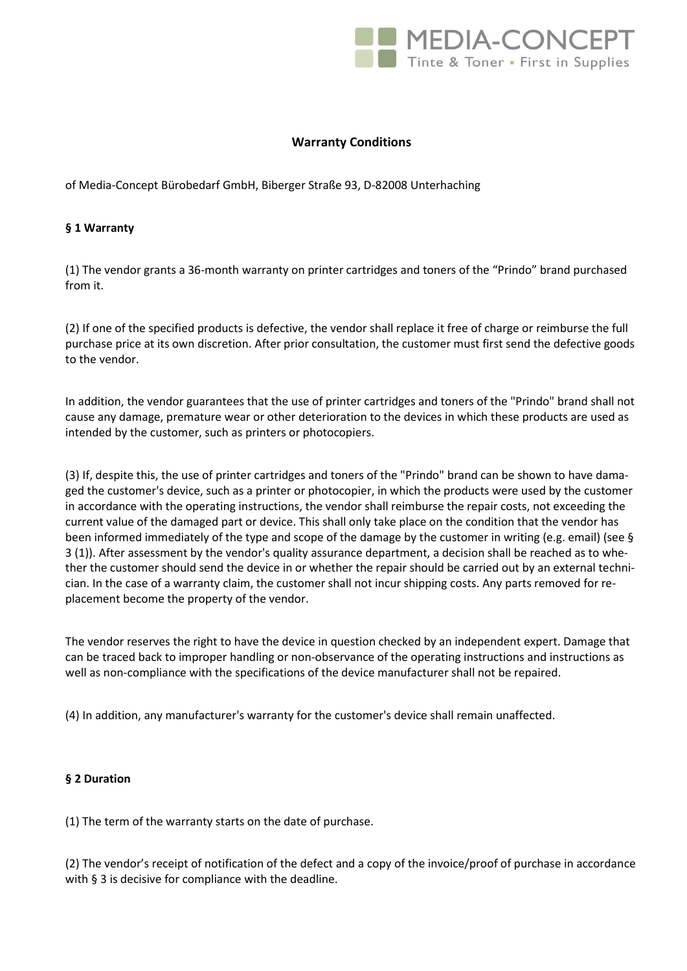

# **Warranty Conditions**

of Media-Concept Bürobedarf GmbH, Biberger Straße 93, D-82008 Unterhaching

# **§ 1 Warranty**

(1) The vendor grants a 36-month warranty on printer cartridges and toners of the "Prindo" brand purchased from it.

(2) If one of the specified products is defective, the vendor shall replace it free of charge or reimburse the full purchase price at its own discretion. After prior consultation, the customer must first send the defective goods to the vendor.

In addition, the vendor guarantees that the use of printer cartridges and toners of the "Prindo" brand shall not cause any damage, premature wear or other deterioration to the devices in which these products are used as intended by the customer, such as printers or photocopiers.

(3) If, despite this, the use of printer cartridges and toners of the "Prindo" brand can be shown to have damaged the customer's device, such as a printer or photocopier, in which the products were used by the customer in accordance with the operating instructions, the vendor shall reimburse the repair costs, not exceeding the current value of the damaged part or device. This shall only take place on the condition that the vendor has been informed immediately of the type and scope of the damage by the customer in writing (e.g. email) (see § 3 (1)). After assessment by the vendor's quality assurance department, a decision shall be reached as to whether the customer should send the device in or whether the repair should be carried out by an external technician. In the case of a warranty claim, the customer shall not incur shipping costs. Any parts removed for replacement become the property of the vendor.

The vendor reserves the right to have the device in question checked by an independent expert. Damage that can be traced back to improper handling or non-observance of the operating instructions and instructions as well as non-compliance with the specifications of the device manufacturer shall not be repaired.

(4) In addition, any manufacturer's warranty for the customer's device shall remain unaffected.

# **§ 2 Duration**

(1) The term of the warranty starts on the date of purchase.

(2) The vendor's receipt of notification of the defect and a copy of the invoice/proof of purchase in accordance with § 3 is decisive for compliance with the deadline.